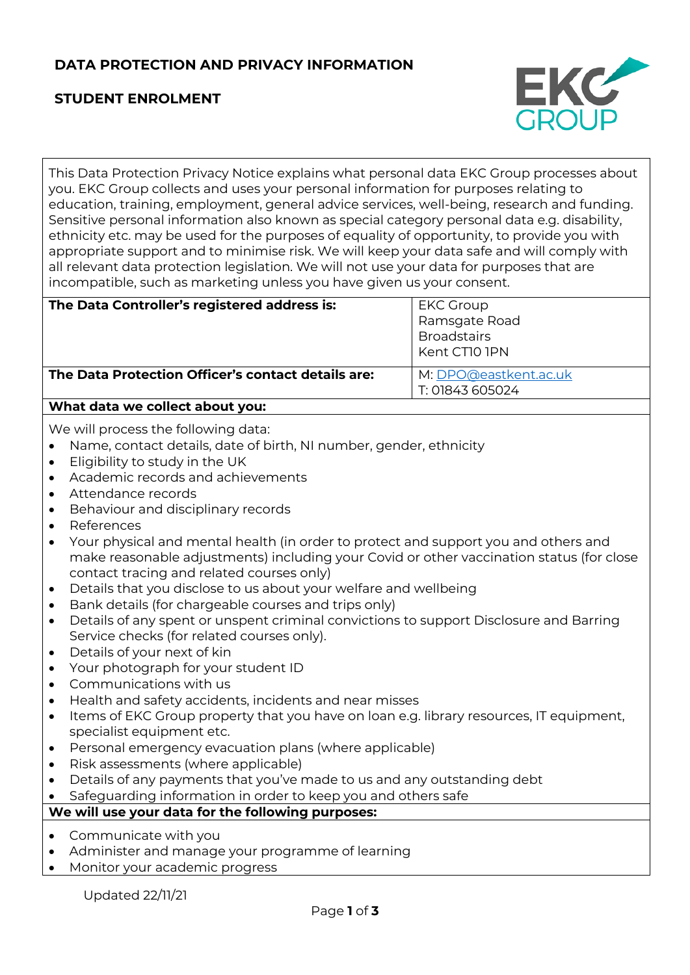# **DATA PROTECTION AND PRIVACY INFORMATION**

# **STUDENT ENROLMENT**



This Data Protection Privacy Notice explains what personal data EKC Group processes about you. EKC Group collects and uses your personal information for purposes relating to education, training, employment, general advice services, well-being, research and funding. Sensitive personal information also known as special category personal data e.g. disability, ethnicity etc. may be used for the purposes of equality of opportunity, to provide you with appropriate support and to minimise risk. We will keep your data safe and will comply with all relevant data protection legislation. We will not use your data for purposes that are incompatible, such as marketing unless you have given us your consent.

| The Data Controller's registered address is:       | <b>EKC Group</b>      |
|----------------------------------------------------|-----------------------|
|                                                    | Ramsgate Road         |
|                                                    | <b>Broadstairs</b>    |
|                                                    | Kent CTIO IPN         |
| The Data Protection Officer's contact details are: | M: DPO@eastkent.ac.uk |
|                                                    | T: 01843 605024       |
| What data we collect about you:                    |                       |

We will process the following data:

- Name, contact details, date of birth, NI number, gender, ethnicity
- Eligibility to study in the UK
- Academic records and achievements
- Attendance records
- Behaviour and disciplinary records
- **References**
- Your physical and mental health (in order to protect and support you and others and make reasonable adjustments) including your Covid or other vaccination status (for close contact tracing and related courses only)
- Details that you disclose to us about your welfare and wellbeing
- Bank details (for chargeable courses and trips only)
- Details of any spent or unspent criminal convictions to support Disclosure and Barring Service checks (for related courses only).
- Details of your next of kin
- Your photograph for your student ID
- Communications with us
- Health and safety accidents, incidents and near misses
- Items of EKC Group property that you have on loan e.g. library resources, IT equipment, specialist equipment etc.
- Personal emergency evacuation plans (where applicable)
- Risk assessments (where applicable)
- Details of any payments that you've made to us and any outstanding debt
- Safeguarding information in order to keep you and others safe

### **We will use your data for the following purposes:**

- Communicate with you
- Administer and manage your programme of learning
- Monitor your academic progress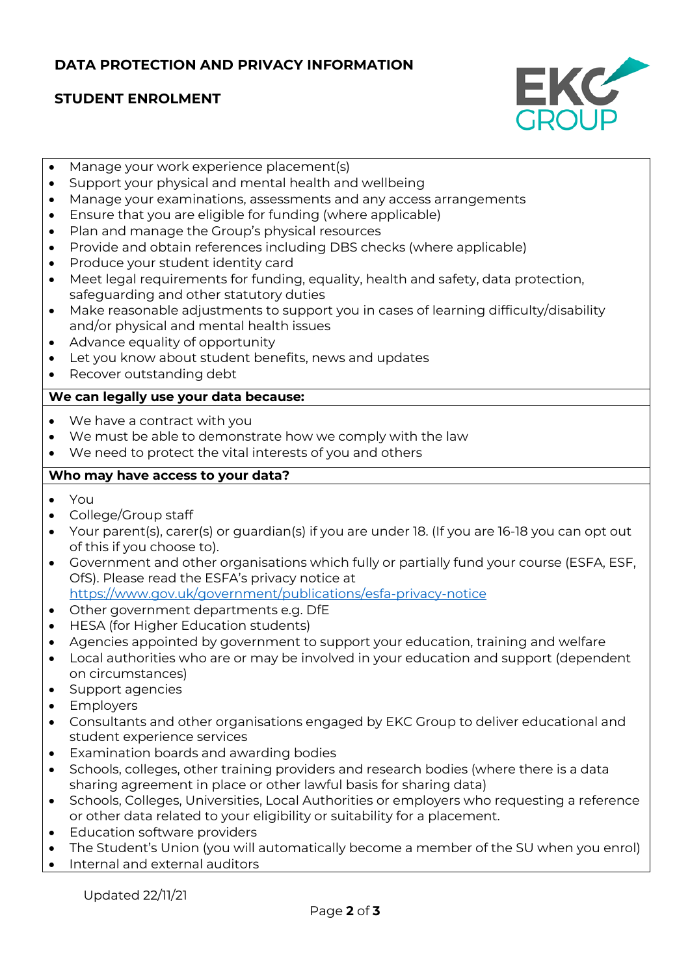## **DATA PROTECTION AND PRIVACY INFORMATION**

# **STUDENT ENROLMENT**



- Manage your work experience placement(s)
- Support your physical and mental health and wellbeing
- Manage your examinations, assessments and any access arrangements
- Ensure that you are eligible for funding (where applicable)
- Plan and manage the Group's physical resources
- Provide and obtain references including DBS checks (where applicable)
- Produce your student identity card
- Meet legal requirements for funding, equality, health and safety, data protection, safeguarding and other statutory duties
- Make reasonable adjustments to support you in cases of learning difficulty/disability and/or physical and mental health issues
- Advance equality of opportunity
- Let you know about student benefits, news and updates
- Recover outstanding debt

#### **We can legally use your data because:**

- We have a contract with you
- We must be able to demonstrate how we comply with the law
- We need to protect the vital interests of you and others

### **Who may have access to your data?**

- You
- College/Group staff
- Your parent(s), carer(s) or guardian(s) if you are under 18. (If you are 16-18 you can opt out of this if you choose to).
- Government and other organisations which fully or partially fund your course (ESFA, ESF, OfS). Please read the ESFA's privacy notice at <https://www.gov.uk/government/publications/esfa-privacy-notice>
- Other government departments e.g. DfE
- HESA (for Higher Education students)
- Agencies appointed by government to support your education, training and welfare
- Local authorities who are or may be involved in your education and support (dependent on circumstances)
- Support agencies
- Employers
- Consultants and other organisations engaged by EKC Group to deliver educational and student experience services
- Examination boards and awarding bodies
- Schools, colleges, other training providers and research bodies (where there is a data sharing agreement in place or other lawful basis for sharing data)
- Schools, Colleges, Universities, Local Authorities or employers who requesting a reference or other data related to your eligibility or suitability for a placement.
- Education software providers
- The Student's Union (you will automatically become a member of the SU when you enrol)
- Internal and external auditors